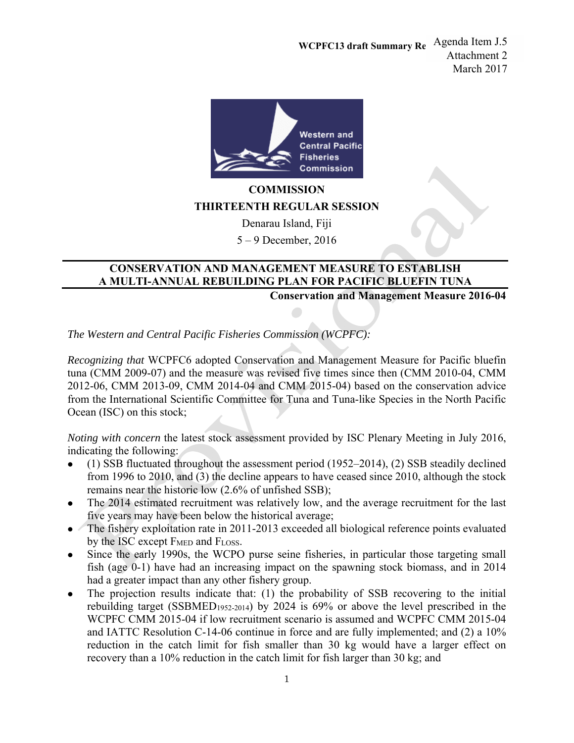**WCPFC13 draft Summary Re** Agenda Item J.5 Attachment 2 March 2017



**COMMISSION THIRTEENTH REGULAR SESSION**

Denarau Island, Fiji

5 – 9 December, 2016

## **CONSERVATION AND MANAGEMENT MEASURE TO ESTABLISH A MULTI-ANNUAL REBUILDING PLAN FOR PACIFIC BLUEFIN TUNA**

**Conservation and Management Measure 2016-04** 

*The Western and Central Pacific Fisheries Commission (WCPFC):* 

*Recognizing that* WCPFC6 adopted Conservation and Management Measure for Pacific bluefin tuna (CMM 2009-07) and the measure was revised five times since then (CMM 2010-04, CMM 2012-06, CMM 2013-09, CMM 2014-04 and CMM 2015-04) based on the conservation advice from the International Scientific Committee for Tuna and Tuna-like Species in the North Pacific Ocean (ISC) on this stock;

*Noting with concern* the latest stock assessment provided by ISC Plenary Meeting in July 2016, indicating the following:

- (1) SSB fluctuated throughout the assessment period (1952–2014), (2) SSB steadily declined from 1996 to 2010, and (3) the decline appears to have ceased since 2010, although the stock remains near the historic low (2.6% of unfished SSB);
- The 2014 estimated recruitment was relatively low, and the average recruitment for the last five years may have been below the historical average;
- The fishery exploitation rate in 2011-2013 exceeded all biological reference points evaluated by the ISC except FMED and FLOSS.
- Since the early 1990s, the WCPO purse seine fisheries, in particular those targeting small fish (age 0-1) have had an increasing impact on the spawning stock biomass, and in 2014 had a greater impact than any other fishery group.
- The projection results indicate that: (1) the probability of SSB recovering to the initial rebuilding target (SSBMED1952-2014) by 2024 is 69% or above the level prescribed in the WCPFC CMM 2015-04 if low recruitment scenario is assumed and WCPFC CMM 2015-04 and IATTC Resolution C-14-06 continue in force and are fully implemented; and (2) a 10% reduction in the catch limit for fish smaller than 30 kg would have a larger effect on recovery than a 10% reduction in the catch limit for fish larger than 30 kg; and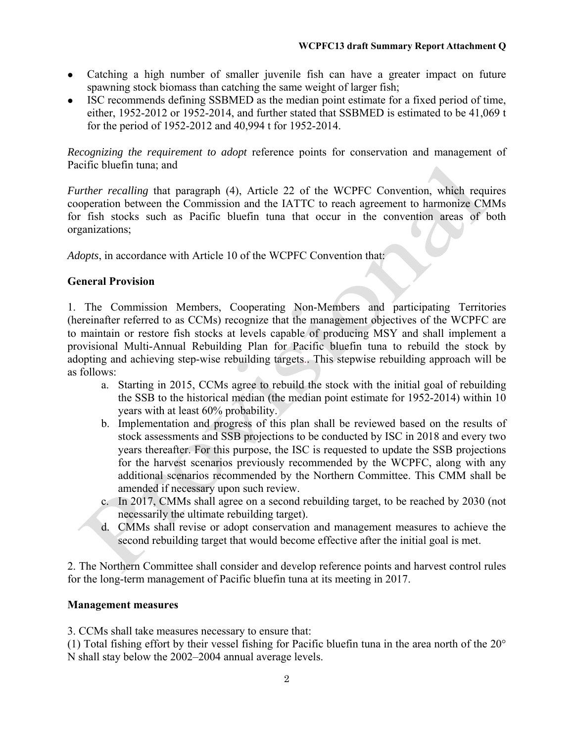- Catching a high number of smaller juvenile fish can have a greater impact on future spawning stock biomass than catching the same weight of larger fish;
- ISC recommends defining SSBMED as the median point estimate for a fixed period of time, either, 1952-2012 or 1952-2014, and further stated that SSBMED is estimated to be 41,069 t for the period of 1952-2012 and 40,994 t for 1952-2014.

*Recognizing the requirement to adopt* reference points for conservation and management of Pacific bluefin tuna; and

*Further recalling that paragraph (4), Article 22 of the WCPFC Convention, which requires* cooperation between the Commission and the IATTC to reach agreement to harmonize CMMs for fish stocks such as Pacific bluefin tuna that occur in the convention areas of both organizations;

*Adopts*, in accordance with Article 10 of the WCPFC Convention that:

## **General Provision**

1. The Commission Members, Cooperating Non-Members and participating Territories (hereinafter referred to as CCMs) recognize that the management objectives of the WCPFC are to maintain or restore fish stocks at levels capable of producing MSY and shall implement a provisional Multi-Annual Rebuilding Plan for Pacific bluefin tuna to rebuild the stock by adopting and achieving step-wise rebuilding targets.. This stepwise rebuilding approach will be as follows:

- a. Starting in 2015, CCMs agree to rebuild the stock with the initial goal of rebuilding the SSB to the historical median (the median point estimate for 1952-2014) within 10 years with at least 60% probability.
- b. Implementation and progress of this plan shall be reviewed based on the results of stock assessments and SSB projections to be conducted by ISC in 2018 and every two years thereafter. For this purpose, the ISC is requested to update the SSB projections for the harvest scenarios previously recommended by the WCPFC, along with any additional scenarios recommended by the Northern Committee. This CMM shall be amended if necessary upon such review.
- c. In 2017, CMMs shall agree on a second rebuilding target, to be reached by 2030 (not necessarily the ultimate rebuilding target).
- d. CMMs shall revise or adopt conservation and management measures to achieve the second rebuilding target that would become effective after the initial goal is met.

2. The Northern Committee shall consider and develop reference points and harvest control rules for the long-term management of Pacific bluefin tuna at its meeting in 2017.

## **Management measures**

3. CCMs shall take measures necessary to ensure that:

(1) Total fishing effort by their vessel fishing for Pacific bluefin tuna in the area north of the 20° N shall stay below the 2002–2004 annual average levels.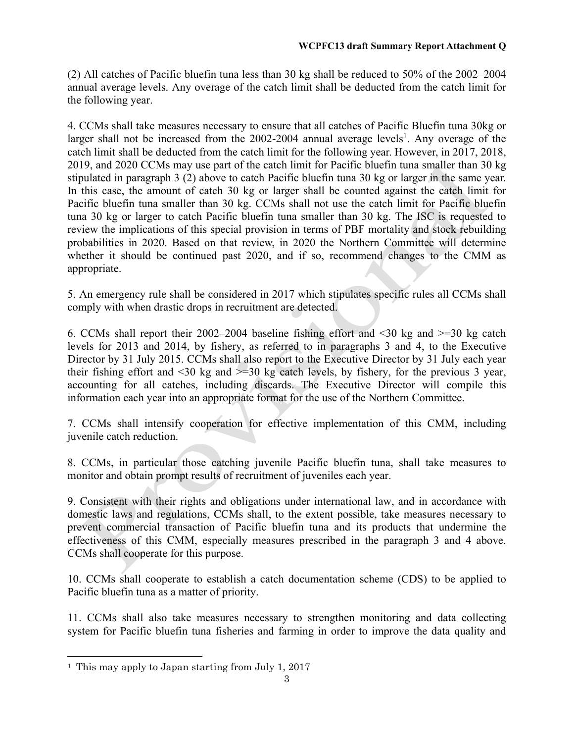(2) All catches of Pacific bluefin tuna less than 30 kg shall be reduced to 50% of the 2002–2004 annual average levels. Any overage of the catch limit shall be deducted from the catch limit for the following year.

4. CCMs shall take measures necessary to ensure that all catches of Pacific Bluefin tuna 30kg or larger shall not be increased from the  $2002$ -2004 annual average levels<sup>1</sup>. Any overage of the catch limit shall be deducted from the catch limit for the following year. However, in 2017, 2018, 2019, and 2020 CCMs may use part of the catch limit for Pacific bluefin tuna smaller than 30 kg stipulated in paragraph 3 (2) above to catch Pacific bluefin tuna 30 kg or larger in the same year. In this case, the amount of catch 30 kg or larger shall be counted against the catch limit for Pacific bluefin tuna smaller than 30 kg. CCMs shall not use the catch limit for Pacific bluefin tuna 30 kg or larger to catch Pacific bluefin tuna smaller than 30 kg. The ISC is requested to review the implications of this special provision in terms of PBF mortality and stock rebuilding probabilities in 2020. Based on that review, in 2020 the Northern Committee will determine whether it should be continued past 2020, and if so, recommend changes to the CMM as appropriate.

5. An emergency rule shall be considered in 2017 which stipulates specific rules all CCMs shall comply with when drastic drops in recruitment are detected.

6. CCMs shall report their 2002–2004 baseline fishing effort and <30 kg and >=30 kg catch levels for 2013 and 2014, by fishery, as referred to in paragraphs 3 and 4, to the Executive Director by 31 July 2015. CCMs shall also report to the Executive Director by 31 July each year their fishing effort and  $\leq 30$  kg and  $\geq 30$  kg catch levels, by fishery, for the previous 3 year, accounting for all catches, including discards. The Executive Director will compile this information each year into an appropriate format for the use of the Northern Committee.

7. CCMs shall intensify cooperation for effective implementation of this CMM, including juvenile catch reduction.

8. CCMs, in particular those catching juvenile Pacific bluefin tuna, shall take measures to monitor and obtain prompt results of recruitment of juveniles each year.

9. Consistent with their rights and obligations under international law, and in accordance with domestic laws and regulations, CCMs shall, to the extent possible, take measures necessary to prevent commercial transaction of Pacific bluefin tuna and its products that undermine the effectiveness of this CMM, especially measures prescribed in the paragraph 3 and 4 above. CCMs shall cooperate for this purpose.

10. CCMs shall cooperate to establish a catch documentation scheme (CDS) to be applied to Pacific bluefin tuna as a matter of priority.

11. CCMs shall also take measures necessary to strengthen monitoring and data collecting system for Pacific bluefin tuna fisheries and farming in order to improve the data quality and

 $\overline{a}$ 

<sup>1</sup> This may apply to Japan starting from July 1, 2017